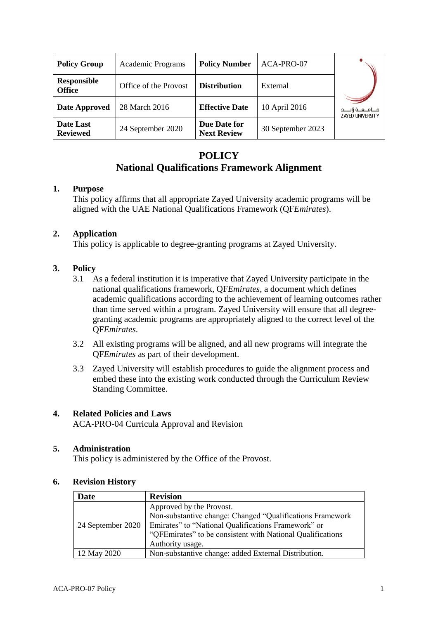| <b>Policy Group</b>                 | <b>Academic Programs</b> | <b>Policy Number</b>               | ACA-PRO-07        |                                                      |
|-------------------------------------|--------------------------|------------------------------------|-------------------|------------------------------------------------------|
| <b>Responsible</b><br><b>Office</b> | Office of the Provost    | <b>Distribution</b>                | External          |                                                      |
| Date Approved                       | 28 March 2016            | <b>Effective Date</b>              | 10 April 2016     | جــــامـــعـــة زايـــــد<br><b>ZAYED UNIVERSITY</b> |
| Date Last<br><b>Reviewed</b>        | 24 September 2020        | Due Date for<br><b>Next Review</b> | 30 September 2023 |                                                      |

# **POLICY National Qualifications Framework Alignment**

## **1. Purpose**

This policy affirms that all appropriate Zayed University academic programs will be aligned with the UAE National Qualifications Framework (QF*Emirates*).

## **2. Application**

This policy is applicable to degree-granting programs at Zayed University.

## **3. Policy**

- 3.1 As a federal institution it is imperative that Zayed University participate in the national qualifications framework, QF*Emirates*, a document which defines academic qualifications according to the achievement of learning outcomes rather than time served within a program. Zayed University will ensure that all degreegranting academic programs are appropriately aligned to the correct level of the QF*Emirates*.
- 3.2 All existing programs will be aligned, and all new programs will integrate the QF*Emirates* as part of their development.
- 3.3 Zayed University will establish procedures to guide the alignment process and embed these into the existing work conducted through the Curriculum Review Standing Committee.

#### **4. Related Policies and Laws**

ACA-PRO-04 Curricula Approval and Revision

#### **5. Administration**

This policy is administered by the Office of the Provost.

#### **6. Revision History**

| Date              | <b>Revision</b>                                            |  |
|-------------------|------------------------------------------------------------|--|
|                   | Approved by the Provost.                                   |  |
|                   | Non-substantive change: Changed "Qualifications Framework  |  |
| 24 September 2020 | Emirates" to "National Qualifications Framework" or        |  |
|                   | "QFEmirates" to be consistent with National Qualifications |  |
|                   | Authority usage.                                           |  |
| 12 May 2020       | Non-substantive change: added External Distribution.       |  |